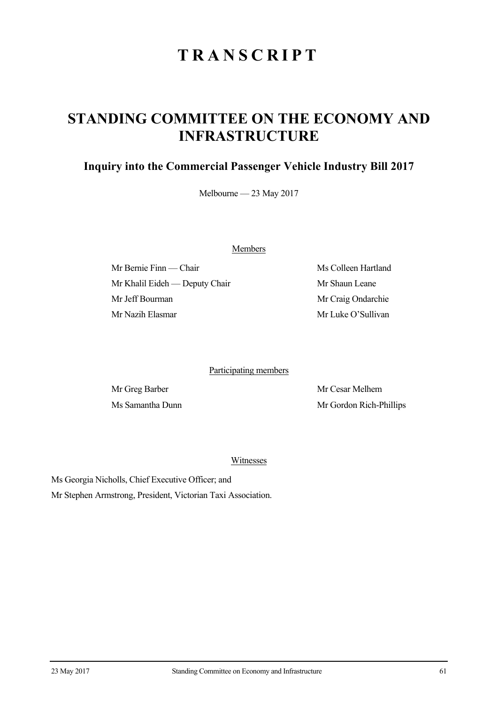## **TRANSCRIPT**

## **STANDING COMMITTEE ON THE ECONOMY AND INFRASTRUCTURE**

## **Inquiry into the Commercial Passenger Vehicle Industry Bill 2017**

Melbourne — 23 May 2017

Members

Mr Bernie Finn — Chair Ms Colleen Hartland Mr Khalil Eideh — Deputy Chair Mr Shaun Leane Mr Jeff Bourman Mr Craig Ondarchie Mr Nazih Elasmar Mr Luke O'Sullivan

Participating members

Mr Greg Barber Mr Cesar Melhem Ms Samantha Dunn Mr Gordon Rich-Phillips

Witnesses

Ms Georgia Nicholls, Chief Executive Officer; and Mr Stephen Armstrong, President, Victorian Taxi Association.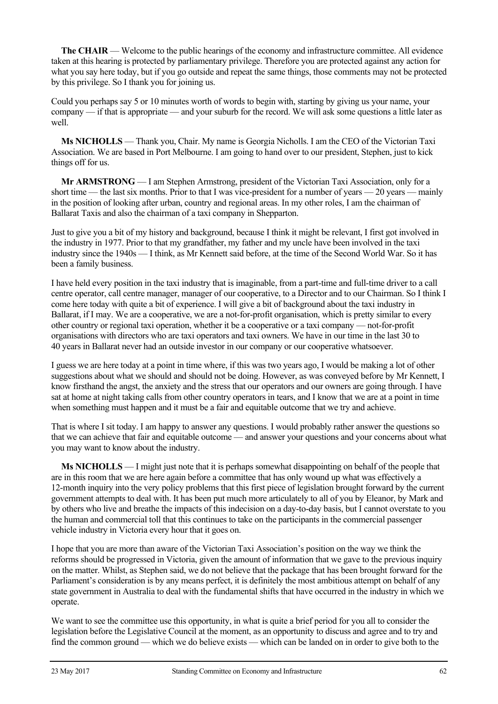**The CHAIR** — Welcome to the public hearings of the economy and infrastructure committee. All evidence taken at this hearing is protected by parliamentary privilege. Therefore you are protected against any action for what you say here today, but if you go outside and repeat the same things, those comments may not be protected by this privilege. So I thank you for joining us.

Could you perhaps say 5 or 10 minutes worth of words to begin with, starting by giving us your name, your company — if that is appropriate — and your suburb for the record. We will ask some questions a little later as well.

**Ms NICHOLLS** — Thank you, Chair. My name is Georgia Nicholls. I am the CEO of the Victorian Taxi Association. We are based in Port Melbourne. I am going to hand over to our president, Stephen, just to kick things off for us.

**Mr ARMSTRONG** — I am Stephen Armstrong, president of the Victorian Taxi Association, only for a short time — the last six months. Prior to that I was vice-president for a number of years — 20 years — mainly in the position of looking after urban, country and regional areas. In my other roles, I am the chairman of Ballarat Taxis and also the chairman of a taxi company in Shepparton.

Just to give you a bit of my history and background, because I think it might be relevant, I first got involved in the industry in 1977. Prior to that my grandfather, my father and my uncle have been involved in the taxi industry since the 1940s — I think, as Mr Kennett said before, at the time of the Second World War. So it has been a family business.

I have held every position in the taxi industry that is imaginable, from a part-time and full-time driver to a call centre operator, call centre manager, manager of our cooperative, to a Director and to our Chairman. So I think I come here today with quite a bit of experience. I will give a bit of background about the taxi industry in Ballarat, if I may. We are a cooperative, we are a not-for-profit organisation, which is pretty similar to every other country or regional taxi operation, whether it be a cooperative or a taxi company — not-for-profit organisations with directors who are taxi operators and taxi owners. We have in our time in the last 30 to 40 years in Ballarat never had an outside investor in our company or our cooperative whatsoever.

I guess we are here today at a point in time where, if this was two years ago, I would be making a lot of other suggestions about what we should and should not be doing. However, as was conveyed before by Mr Kennett, I know firsthand the angst, the anxiety and the stress that our operators and our owners are going through. I have sat at home at night taking calls from other country operators in tears, and I know that we are at a point in time when something must happen and it must be a fair and equitable outcome that we try and achieve.

That is where I sit today. I am happy to answer any questions. I would probably rather answer the questions so that we can achieve that fair and equitable outcome — and answer your questions and your concerns about what you may want to know about the industry.

**Ms NICHOLLS** — I might just note that it is perhaps somewhat disappointing on behalf of the people that are in this room that we are here again before a committee that has only wound up what was effectively a 12-month inquiry into the very policy problems that this first piece of legislation brought forward by the current government attempts to deal with. It has been put much more articulately to all of you by Eleanor, by Mark and by others who live and breathe the impacts of this indecision on a day-to-day basis, but I cannot overstate to you the human and commercial toll that this continues to take on the participants in the commercial passenger vehicle industry in Victoria every hour that it goes on.

I hope that you are more than aware of the Victorian Taxi Association's position on the way we think the reforms should be progressed in Victoria, given the amount of information that we gave to the previous inquiry on the matter. Whilst, as Stephen said, we do not believe that the package that has been brought forward for the Parliament's consideration is by any means perfect, it is definitely the most ambitious attempt on behalf of any state government in Australia to deal with the fundamental shifts that have occurred in the industry in which we operate.

We want to see the committee use this opportunity, in what is quite a brief period for you all to consider the legislation before the Legislative Council at the moment, as an opportunity to discuss and agree and to try and find the common ground — which we do believe exists — which can be landed on in order to give both to the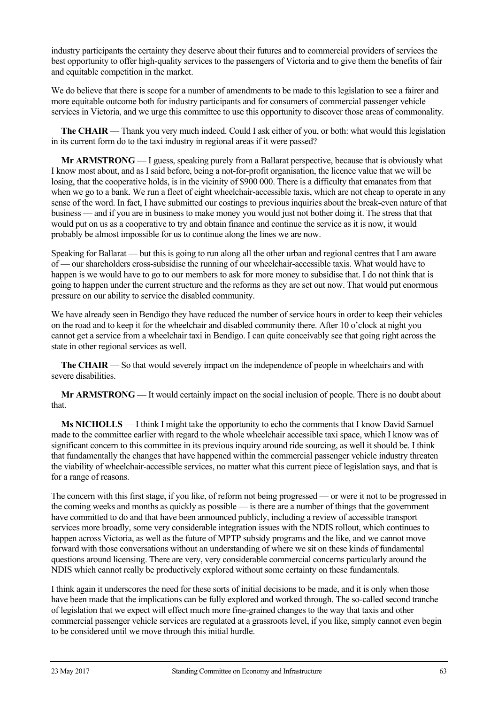industry participants the certainty they deserve about their futures and to commercial providers of services the best opportunity to offer high-quality services to the passengers of Victoria and to give them the benefits of fair and equitable competition in the market.

We do believe that there is scope for a number of amendments to be made to this legislation to see a fairer and more equitable outcome both for industry participants and for consumers of commercial passenger vehicle services in Victoria, and we urge this committee to use this opportunity to discover those areas of commonality.

**The CHAIR** — Thank you very much indeed. Could I ask either of you, or both: what would this legislation in its current form do to the taxi industry in regional areas if it were passed?

**Mr ARMSTRONG** — I guess, speaking purely from a Ballarat perspective, because that is obviously what I know most about, and as I said before, being a not-for-profit organisation, the licence value that we will be losing, that the cooperative holds, is in the vicinity of \$900 000. There is a difficulty that emanates from that when we go to a bank. We run a fleet of eight wheelchair-accessible taxis, which are not cheap to operate in any sense of the word. In fact, I have submitted our costings to previous inquiries about the break-even nature of that business — and if you are in business to make money you would just not bother doing it. The stress that that would put on us as a cooperative to try and obtain finance and continue the service as it is now, it would probably be almost impossible for us to continue along the lines we are now.

Speaking for Ballarat — but this is going to run along all the other urban and regional centres that I am aware of — our shareholders cross-subsidise the running of our wheelchair-accessible taxis. What would have to happen is we would have to go to our members to ask for more money to subsidise that. I do not think that is going to happen under the current structure and the reforms as they are set out now. That would put enormous pressure on our ability to service the disabled community.

We have already seen in Bendigo they have reduced the number of service hours in order to keep their vehicles on the road and to keep it for the wheelchair and disabled community there. After 10 o'clock at night you cannot get a service from a wheelchair taxi in Bendigo. I can quite conceivably see that going right across the state in other regional services as well.

**The CHAIR** — So that would severely impact on the independence of people in wheelchairs and with severe disabilities.

**Mr ARMSTRONG** — It would certainly impact on the social inclusion of people. There is no doubt about that.

**Ms NICHOLLS** — I think I might take the opportunity to echo the comments that I know David Samuel made to the committee earlier with regard to the whole wheelchair accessible taxi space, which I know was of significant concern to this committee in its previous inquiry around ride sourcing, as well it should be. I think that fundamentally the changes that have happened within the commercial passenger vehicle industry threaten the viability of wheelchair-accessible services, no matter what this current piece of legislation says, and that is for a range of reasons.

The concern with this first stage, if you like, of reform not being progressed — or were it not to be progressed in the coming weeks and months as quickly as possible — is there are a number of things that the government have committed to do and that have been announced publicly, including a review of accessible transport services more broadly, some very considerable integration issues with the NDIS rollout, which continues to happen across Victoria, as well as the future of MPTP subsidy programs and the like, and we cannot move forward with those conversations without an understanding of where we sit on these kinds of fundamental questions around licensing. There are very, very considerable commercial concerns particularly around the NDIS which cannot really be productively explored without some certainty on these fundamentals.

I think again it underscores the need for these sorts of initial decisions to be made, and it is only when those have been made that the implications can be fully explored and worked through. The so-called second tranche of legislation that we expect will effect much more fine-grained changes to the way that taxis and other commercial passenger vehicle services are regulated at a grassroots level, if you like, simply cannot even begin to be considered until we move through this initial hurdle.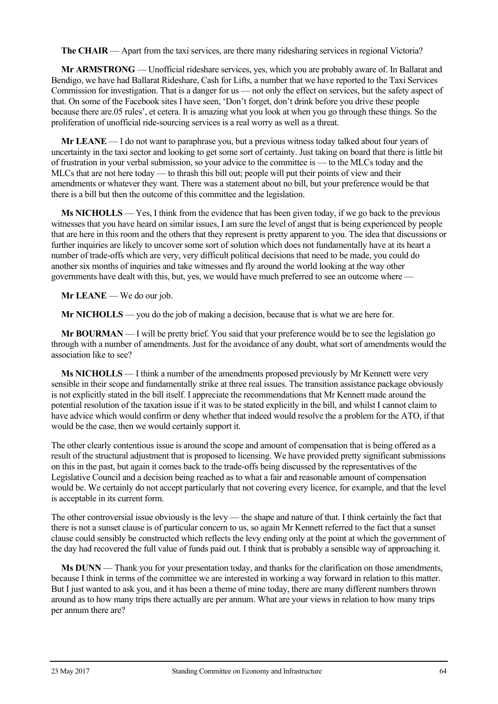**The CHAIR** — Apart from the taxi services, are there many ridesharing services in regional Victoria?

**Mr ARMSTRONG** — Unofficial rideshare services, yes, which you are probably aware of. In Ballarat and Bendigo, we have had Ballarat Rideshare, Cash for Lifts, a number that we have reported to the Taxi Services Commission for investigation. That is a danger for us — not only the effect on services, but the safety aspect of that. On some of the Facebook sites I have seen, 'Don't forget, don't drink before you drive these people because there are.05 rules', et cetera. It is amazing what you look at when you go through these things. So the proliferation of unofficial ride-sourcing services is a real worry as well as a threat.

**Mr LEANE** — I do not want to paraphrase you, but a previous witness today talked about four years of uncertainty in the taxi sector and looking to get some sort of certainty. Just taking on board that there is little bit of frustration in your verbal submission, so your advice to the committee is — to the MLCs today and the MLCs that are not here today — to thrash this bill out; people will put their points of view and their amendments or whatever they want. There was a statement about no bill, but your preference would be that there is a bill but then the outcome of this committee and the legislation.

**Ms NICHOLLS** — Yes, I think from the evidence that has been given today, if we go back to the previous witnesses that you have heard on similar issues, I am sure the level of angst that is being experienced by people that are here in this room and the others that they represent is pretty apparent to you. The idea that discussions or further inquiries are likely to uncover some sort of solution which does not fundamentally have at its heart a number of trade-offs which are very, very difficult political decisions that need to be made, you could do another six months of inquiries and take witnesses and fly around the world looking at the way other governments have dealt with this, but, yes, we would have much preferred to see an outcome where —

**Mr LEANE** — We do our job.

**Mr NICHOLLS** — you do the job of making a decision, because that is what we are here for.

**Mr BOURMAN** — I will be pretty brief. You said that your preference would be to see the legislation go through with a number of amendments. Just for the avoidance of any doubt, what sort of amendments would the association like to see?

**Ms NICHOLLS** — I think a number of the amendments proposed previously by Mr Kennett were very sensible in their scope and fundamentally strike at three real issues. The transition assistance package obviously is not explicitly stated in the bill itself. I appreciate the recommendations that Mr Kennett made around the potential resolution of the taxation issue if it was to be stated explicitly in the bill, and whilst I cannot claim to have advice which would confirm or deny whether that indeed would resolve the a problem for the ATO, if that would be the case, then we would certainly support it.

The other clearly contentious issue is around the scope and amount of compensation that is being offered as a result of the structural adjustment that is proposed to licensing. We have provided pretty significant submissions on this in the past, but again it comes back to the trade-offs being discussed by the representatives of the Legislative Council and a decision being reached as to what a fair and reasonable amount of compensation would be. We certainly do not accept particularly that not covering every licence, for example, and that the level is acceptable in its current form.

The other controversial issue obviously is the levy — the shape and nature of that. I think certainly the fact that there is not a sunset clause is of particular concern to us, so again Mr Kennett referred to the fact that a sunset clause could sensibly be constructed which reflects the levy ending only at the point at which the government of the day had recovered the full value of funds paid out. I think that is probably a sensible way of approaching it.

**Ms DUNN** — Thank you for your presentation today, and thanks for the clarification on those amendments, because I think in terms of the committee we are interested in working a way forward in relation to this matter. But I just wanted to ask you, and it has been a theme of mine today, there are many different numbers thrown around as to how many trips there actually are per annum. What are your views in relation to how many trips per annum there are?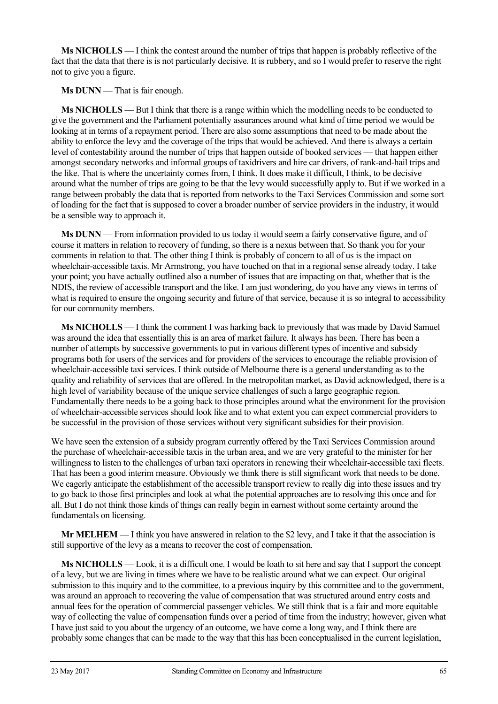**Ms NICHOLLS** — I think the contest around the number of trips that happen is probably reflective of the fact that the data that there is is not particularly decisive. It is rubbery, and so I would prefer to reserve the right not to give you a figure.

**Ms DUNN** — That is fair enough.

**Ms NICHOLLS** — But I think that there is a range within which the modelling needs to be conducted to give the government and the Parliament potentially assurances around what kind of time period we would be looking at in terms of a repayment period. There are also some assumptions that need to be made about the ability to enforce the levy and the coverage of the trips that would be achieved. And there is always a certain level of contestability around the number of trips that happen outside of booked services — that happen either amongst secondary networks and informal groups of taxidrivers and hire car drivers, of rank-and-hail trips and the like. That is where the uncertainty comes from, I think. It does make it difficult, I think, to be decisive around what the number of trips are going to be that the levy would successfully apply to. But if we worked in a range between probably the data that is reported from networks to the Taxi Services Commission and some sort of loading for the fact that is supposed to cover a broader number of service providers in the industry, it would be a sensible way to approach it.

**Ms DUNN** — From information provided to us today it would seem a fairly conservative figure, and of course it matters in relation to recovery of funding, so there is a nexus between that. So thank you for your comments in relation to that. The other thing I think is probably of concern to all of us is the impact on wheelchair-accessible taxis. Mr Armstrong, you have touched on that in a regional sense already today. I take your point; you have actually outlined also a number of issues that are impacting on that, whether that is the NDIS, the review of accessible transport and the like. I am just wondering, do you have any views in terms of what is required to ensure the ongoing security and future of that service, because it is so integral to accessibility for our community members.

**Ms NICHOLLS** — I think the comment I was harking back to previously that was made by David Samuel was around the idea that essentially this is an area of market failure. It always has been. There has been a number of attempts by successive governments to put in various different types of incentive and subsidy programs both for users of the services and for providers of the services to encourage the reliable provision of wheelchair-accessible taxi services. I think outside of Melbourne there is a general understanding as to the quality and reliability of services that are offered. In the metropolitan market, as David acknowledged, there is a high level of variability because of the unique service challenges of such a large geographic region. Fundamentally there needs to be a going back to those principles around what the environment for the provision of wheelchair-accessible services should look like and to what extent you can expect commercial providers to be successful in the provision of those services without very significant subsidies for their provision.

We have seen the extension of a subsidy program currently offered by the Taxi Services Commission around the purchase of wheelchair-accessible taxis in the urban area, and we are very grateful to the minister for her willingness to listen to the challenges of urban taxi operators in renewing their wheelchair-accessible taxi fleets. That has been a good interim measure. Obviously we think there is still significant work that needs to be done. We eagerly anticipate the establishment of the accessible transport review to really dig into these issues and try to go back to those first principles and look at what the potential approaches are to resolving this once and for all. But I do not think those kinds of things can really begin in earnest without some certainty around the fundamentals on licensing.

**Mr MELHEM** — I think you have answered in relation to the \$2 levy, and I take it that the association is still supportive of the levy as a means to recover the cost of compensation.

**Ms NICHOLLS** — Look, it is a difficult one. I would be loath to sit here and say that I support the concept of a levy, but we are living in times where we have to be realistic around what we can expect. Our original submission to this inquiry and to the committee, to a previous inquiry by this committee and to the government, was around an approach to recovering the value of compensation that was structured around entry costs and annual fees for the operation of commercial passenger vehicles. We still think that is a fair and more equitable way of collecting the value of compensation funds over a period of time from the industry; however, given what I have just said to you about the urgency of an outcome, we have come a long way, and I think there are probably some changes that can be made to the way that this has been conceptualised in the current legislation,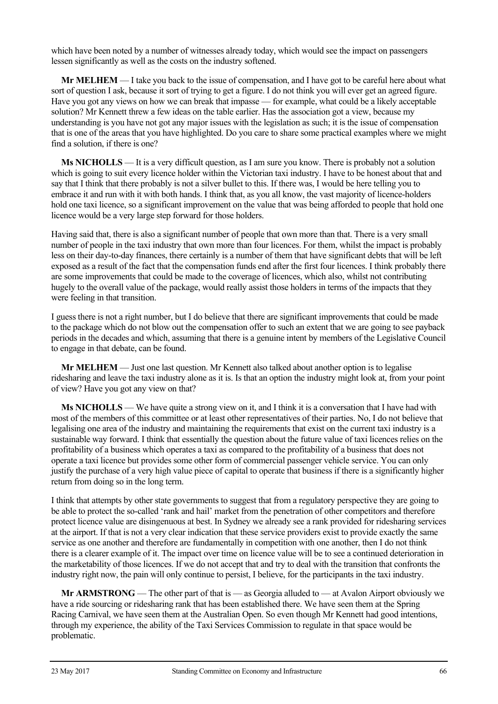which have been noted by a number of witnesses already today, which would see the impact on passengers lessen significantly as well as the costs on the industry softened.

**Mr MELHEM** — I take you back to the issue of compensation, and I have got to be careful here about what sort of question I ask, because it sort of trying to get a figure. I do not think you will ever get an agreed figure. Have you got any views on how we can break that impasse — for example, what could be a likely acceptable solution? Mr Kennett threw a few ideas on the table earlier. Has the association got a view, because my understanding is you have not got any major issues with the legislation as such; it is the issue of compensation that is one of the areas that you have highlighted. Do you care to share some practical examples where we might find a solution, if there is one?

**Ms NICHOLLS** — It is a very difficult question, as I am sure you know. There is probably not a solution which is going to suit every licence holder within the Victorian taxi industry. I have to be honest about that and say that I think that there probably is not a silver bullet to this. If there was, I would be here telling you to embrace it and run with it with both hands. I think that, as you all know, the vast majority of licence-holders hold one taxi licence, so a significant improvement on the value that was being afforded to people that hold one licence would be a very large step forward for those holders.

Having said that, there is also a significant number of people that own more than that. There is a very small number of people in the taxi industry that own more than four licences. For them, whilst the impact is probably less on their day-to-day finances, there certainly is a number of them that have significant debts that will be left exposed as a result of the fact that the compensation funds end after the first four licences. I think probably there are some improvements that could be made to the coverage of licences, which also, whilst not contributing hugely to the overall value of the package, would really assist those holders in terms of the impacts that they were feeling in that transition.

I guess there is not a right number, but I do believe that there are significant improvements that could be made to the package which do not blow out the compensation offer to such an extent that we are going to see payback periods in the decades and which, assuming that there is a genuine intent by members of the Legislative Council to engage in that debate, can be found.

**Mr MELHEM** — Just one last question. Mr Kennett also talked about another option is to legalise ridesharing and leave the taxi industry alone as it is. Is that an option the industry might look at, from your point of view? Have you got any view on that?

**Ms NICHOLLS** — We have quite a strong view on it, and I think it is a conversation that I have had with most of the members of this committee or at least other representatives of their parties. No, I do not believe that legalising one area of the industry and maintaining the requirements that exist on the current taxi industry is a sustainable way forward. I think that essentially the question about the future value of taxi licences relies on the profitability of a business which operates a taxi as compared to the profitability of a business that does not operate a taxi licence but provides some other form of commercial passenger vehicle service. You can only justify the purchase of a very high value piece of capital to operate that business if there is a significantly higher return from doing so in the long term.

I think that attempts by other state governments to suggest that from a regulatory perspective they are going to be able to protect the so-called 'rank and hail' market from the penetration of other competitors and therefore protect licence value are disingenuous at best. In Sydney we already see a rank provided for ridesharing services at the airport. If that is not a very clear indication that these service providers exist to provide exactly the same service as one another and therefore are fundamentally in competition with one another, then I do not think there is a clearer example of it. The impact over time on licence value will be to see a continued deterioration in the marketability of those licences. If we do not accept that and try to deal with the transition that confronts the industry right now, the pain will only continue to persist, I believe, for the participants in the taxi industry.

**Mr ARMSTRONG** — The other part of that is — as Georgia alluded to — at Avalon Airport obviously we have a ride sourcing or ridesharing rank that has been established there. We have seen them at the Spring Racing Carnival, we have seen them at the Australian Open. So even though Mr Kennett had good intentions, through my experience, the ability of the Taxi Services Commission to regulate in that space would be problematic.